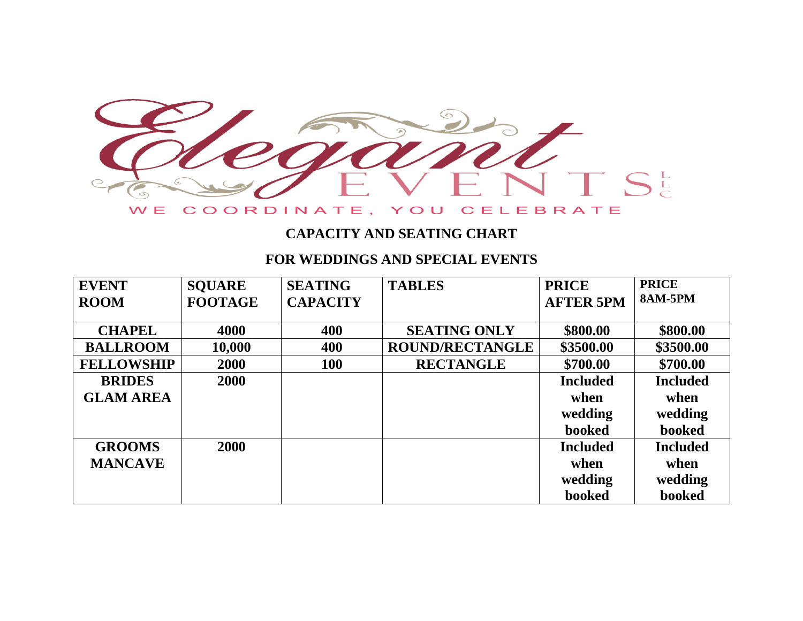

#### **CAPACITY AND SEATING CHART**

#### **FOR WEDDINGS AND SPECIAL EVENTS**

| <b>EVENT</b>      | <b>SQUARE</b>  | <b>SEATING</b>  | <b>TABLES</b>          | <b>PRICE</b>     | <b>PRICE</b>    |
|-------------------|----------------|-----------------|------------------------|------------------|-----------------|
| <b>ROOM</b>       | <b>FOOTAGE</b> | <b>CAPACITY</b> |                        | <b>AFTER 5PM</b> | <b>8AM-5PM</b>  |
|                   |                |                 |                        |                  |                 |
| <b>CHAPEL</b>     | 4000           | 400             | <b>SEATING ONLY</b>    | \$800.00         | \$800.00        |
| <b>BALLROOM</b>   | 10,000         | 400             | <b>ROUND/RECTANGLE</b> | \$3500.00        | \$3500.00       |
| <b>FELLOWSHIP</b> | 2000           | <b>100</b>      | <b>RECTANGLE</b>       | \$700.00         | \$700.00        |
| <b>BRIDES</b>     | 2000           |                 |                        | <b>Included</b>  | <b>Included</b> |
| <b>GLAM AREA</b>  |                |                 |                        | when             | when            |
|                   |                |                 |                        | wedding          | wedding         |
|                   |                |                 |                        | booked           | booked          |
| <b>GROOMS</b>     | 2000           |                 |                        | <b>Included</b>  | <b>Included</b> |
| <b>MANCAVE</b>    |                |                 |                        | when             | when            |
|                   |                |                 |                        | wedding          | wedding         |
|                   |                |                 |                        | booked           | booked          |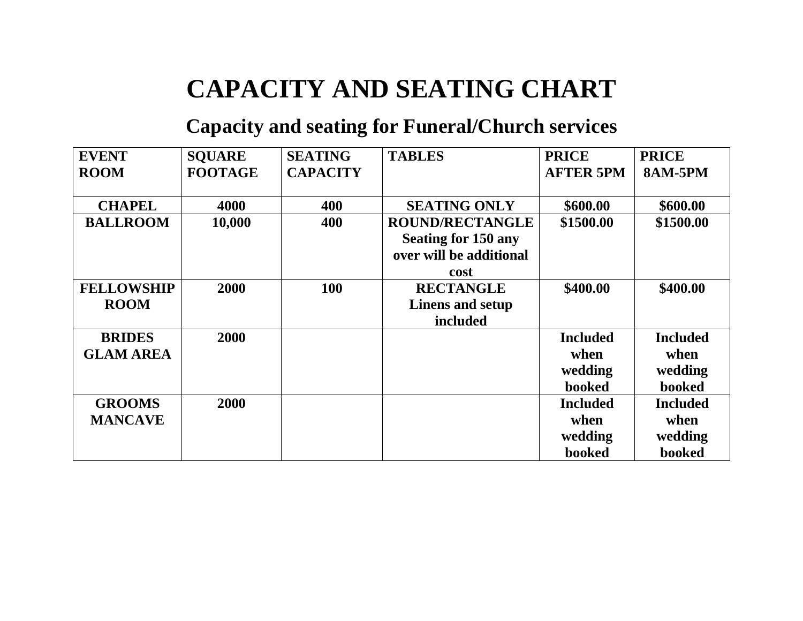# **CAPACITY AND SEATING CHART**

## **Capacity and seating for Funeral/Church services**

| <b>EVENT</b>                      | <b>SOUARE</b>  | <b>SEATING</b>  | <b>TABLES</b>                                                                           | <b>PRICE</b>                                 | <b>PRICE</b>                                        |
|-----------------------------------|----------------|-----------------|-----------------------------------------------------------------------------------------|----------------------------------------------|-----------------------------------------------------|
| <b>ROOM</b>                       | <b>FOOTAGE</b> | <b>CAPACITY</b> |                                                                                         | <b>AFTER 5PM</b>                             | <b>8AM-5PM</b>                                      |
| <b>CHAPEL</b>                     | 4000           | 400             | <b>SEATING ONLY</b>                                                                     | \$600.00                                     | \$600.00                                            |
| <b>BALLROOM</b>                   | 10,000         | 400             | <b>ROUND/RECTANGLE</b><br><b>Seating for 150 any</b><br>over will be additional<br>cost | \$1500.00                                    | \$1500.00                                           |
| <b>FELLOWSHIP</b><br><b>ROOM</b>  | 2000           | 100             | <b>RECTANGLE</b><br>Linens and setup<br>included                                        | \$400.00                                     | \$400.00                                            |
| <b>BRIDES</b><br><b>GLAM AREA</b> | 2000           |                 |                                                                                         | <b>Included</b><br>when<br>wedding<br>booked | <b>Included</b><br>when<br>wedding<br><b>booked</b> |
| <b>GROOMS</b><br><b>MANCAVE</b>   | 2000           |                 |                                                                                         | <b>Included</b><br>when<br>wedding<br>booked | <b>Included</b><br>when<br>wedding<br>booked        |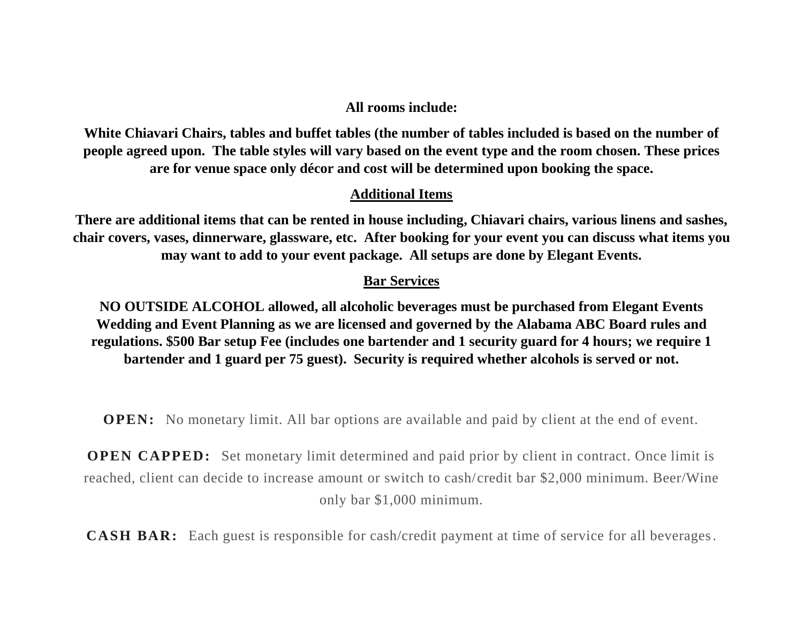#### **All rooms include:**

**White Chiavari Chairs, tables and buffet tables (the number of tables included is based on the number of people agreed upon. The table styles will vary based on the event type and the room chosen. These prices are for venue space only décor and cost will be determined upon booking the space.**

#### **Additional Items**

**There are additional items that can be rented in house including, Chiavari chairs, various linens and sashes, chair covers, vases, dinnerware, glassware, etc. After booking for your event you can discuss what items you may want to add to your event package. All setups are done by Elegant Events.**

#### **Bar Services**

**NO OUTSIDE ALCOHOL allowed, all alcoholic beverages must be purchased from Elegant Events Wedding and Event Planning as we are licensed and governed by the Alabama ABC Board rules and regulations. \$500 Bar setup Fee (includes one bartender and 1 security guard for 4 hours; we require 1 bartender and 1 guard per 75 guest). Security is required whether alcohols is served or not.**

**OPEN:** No monetary limit. All bar options are available and paid by client at the end of event.

**OPEN CAPPED:** Set monetary limit determined and paid prior by client in contract. Once limit is reached, client can decide to increase amount or switch to cash/credit bar \$2,000 minimum. Beer/Wine only bar \$1,000 minimum.

**CASH BAR:** Each guest is responsible for cash/credit payment at time of service for all beverages.